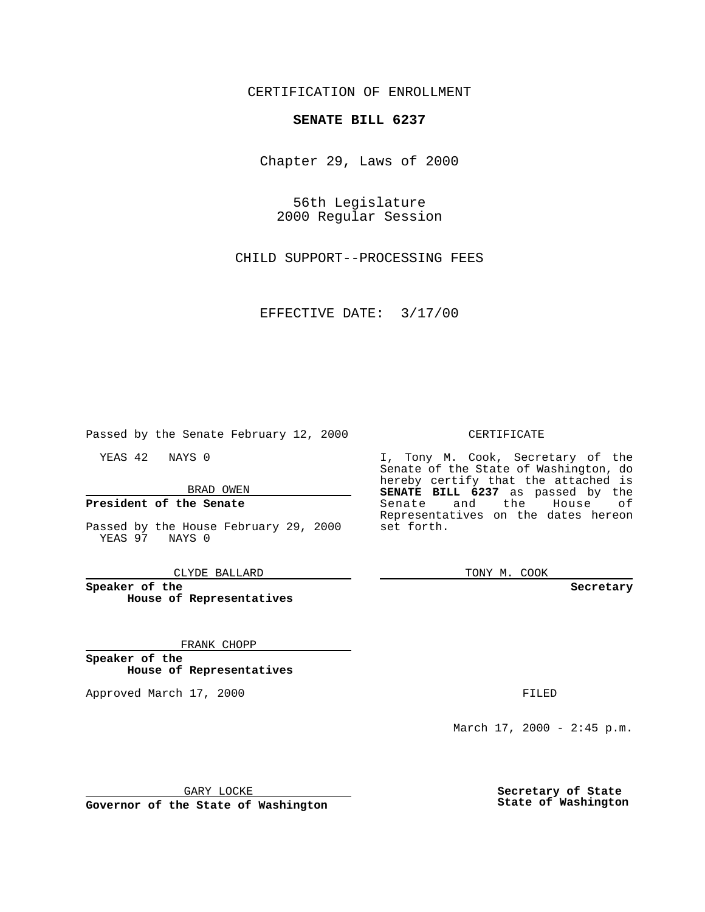# CERTIFICATION OF ENROLLMENT

# **SENATE BILL 6237**

Chapter 29, Laws of 2000

56th Legislature 2000 Regular Session

CHILD SUPPORT--PROCESSING FEES

EFFECTIVE DATE: 3/17/00

Passed by the Senate February 12, 2000

YEAS 42 NAYS 0

BRAD OWEN

## **President of the Senate**

Passed by the House February 29, 2000 YEAS 97 NAYS 0

CLYDE BALLARD

**Speaker of the House of Representatives**

#### FRANK CHOPP

**Speaker of the House of Representatives**

Approved March 17, 2000 FILED

### CERTIFICATE

I, Tony M. Cook, Secretary of the Senate of the State of Washington, do hereby certify that the attached is **SENATE BILL 6237** as passed by the Senate and the House of Representatives on the dates hereon set forth.

TONY M. COOK

**Secretary**

March  $17, 2000 - 2:45 p.m.$ 

GARY LOCKE

**Governor of the State of Washington**

**Secretary of State State of Washington**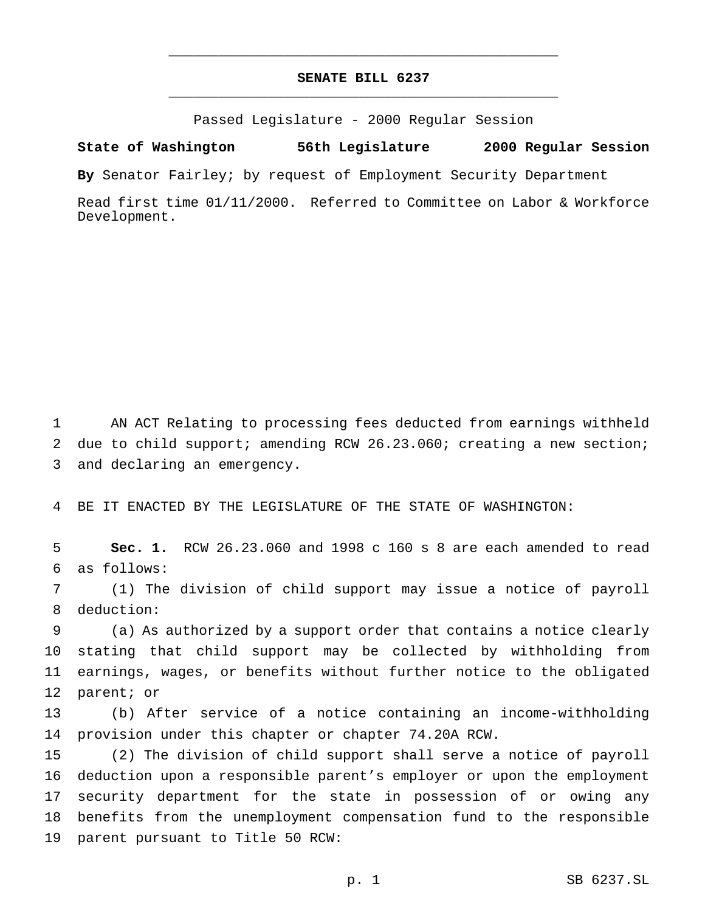# **SENATE BILL 6237** \_\_\_\_\_\_\_\_\_\_\_\_\_\_\_\_\_\_\_\_\_\_\_\_\_\_\_\_\_\_\_\_\_\_\_\_\_\_\_\_\_\_\_\_\_\_\_

\_\_\_\_\_\_\_\_\_\_\_\_\_\_\_\_\_\_\_\_\_\_\_\_\_\_\_\_\_\_\_\_\_\_\_\_\_\_\_\_\_\_\_\_\_\_\_

Passed Legislature - 2000 Regular Session

### **State of Washington 56th Legislature 2000 Regular Session**

**By** Senator Fairley; by request of Employment Security Department

Read first time 01/11/2000. Referred to Committee on Labor & Workforce Development.

 AN ACT Relating to processing fees deducted from earnings withheld 2 due to child support; amending RCW 26.23.060; creating a new section; and declaring an emergency.

BE IT ENACTED BY THE LEGISLATURE OF THE STATE OF WASHINGTON:

 **Sec. 1.** RCW 26.23.060 and 1998 c 160 s 8 are each amended to read as follows:

 (1) The division of child support may issue a notice of payroll deduction:

 (a) As authorized by a support order that contains a notice clearly stating that child support may be collected by withholding from earnings, wages, or benefits without further notice to the obligated parent; or

 (b) After service of a notice containing an income-withholding provision under this chapter or chapter 74.20A RCW.

 (2) The division of child support shall serve a notice of payroll deduction upon a responsible parent's employer or upon the employment security department for the state in possession of or owing any benefits from the unemployment compensation fund to the responsible parent pursuant to Title 50 RCW: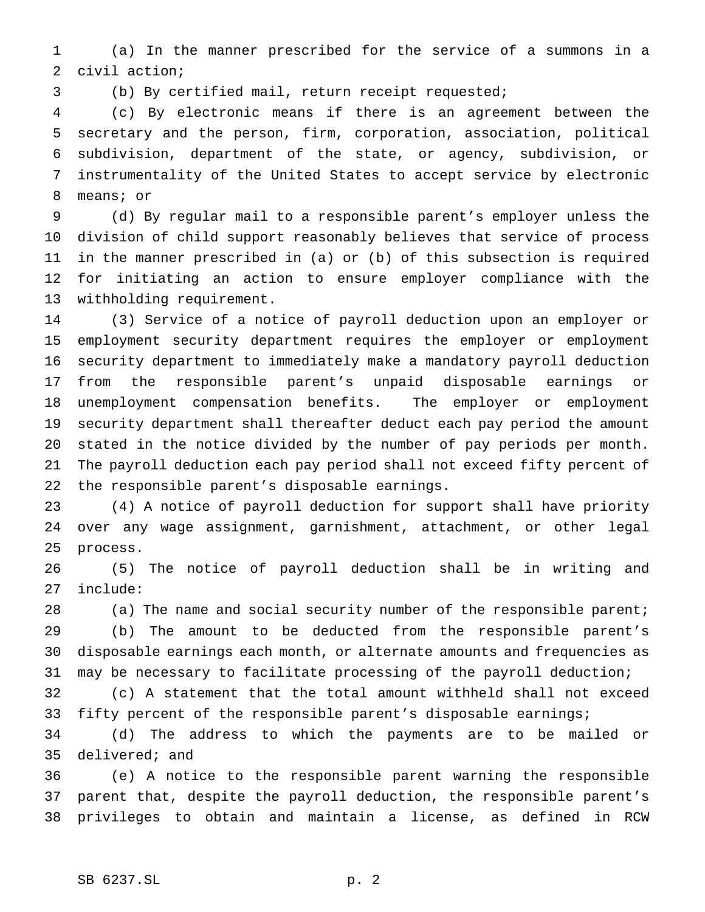(a) In the manner prescribed for the service of a summons in a civil action;

(b) By certified mail, return receipt requested;

 (c) By electronic means if there is an agreement between the secretary and the person, firm, corporation, association, political subdivision, department of the state, or agency, subdivision, or instrumentality of the United States to accept service by electronic means; or

 (d) By regular mail to a responsible parent's employer unless the division of child support reasonably believes that service of process in the manner prescribed in (a) or (b) of this subsection is required for initiating an action to ensure employer compliance with the withholding requirement.

 (3) Service of a notice of payroll deduction upon an employer or employment security department requires the employer or employment security department to immediately make a mandatory payroll deduction from the responsible parent's unpaid disposable earnings or unemployment compensation benefits. The employer or employment security department shall thereafter deduct each pay period the amount stated in the notice divided by the number of pay periods per month. The payroll deduction each pay period shall not exceed fifty percent of the responsible parent's disposable earnings.

 (4) A notice of payroll deduction for support shall have priority over any wage assignment, garnishment, attachment, or other legal process.

 (5) The notice of payroll deduction shall be in writing and include:

 (a) The name and social security number of the responsible parent; (b) The amount to be deducted from the responsible parent's disposable earnings each month, or alternate amounts and frequencies as may be necessary to facilitate processing of the payroll deduction;

 (c) A statement that the total amount withheld shall not exceed fifty percent of the responsible parent's disposable earnings;

 (d) The address to which the payments are to be mailed or delivered; and

 (e) A notice to the responsible parent warning the responsible parent that, despite the payroll deduction, the responsible parent's privileges to obtain and maintain a license, as defined in RCW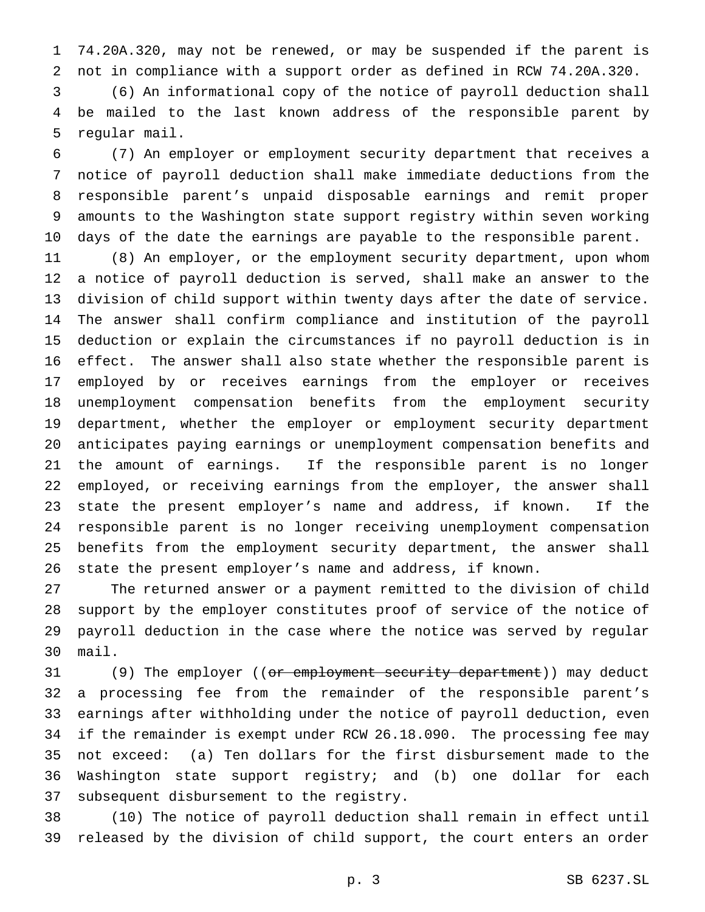74.20A.320, may not be renewed, or may be suspended if the parent is not in compliance with a support order as defined in RCW 74.20A.320.

 (6) An informational copy of the notice of payroll deduction shall be mailed to the last known address of the responsible parent by regular mail.

 (7) An employer or employment security department that receives a notice of payroll deduction shall make immediate deductions from the responsible parent's unpaid disposable earnings and remit proper amounts to the Washington state support registry within seven working days of the date the earnings are payable to the responsible parent.

 (8) An employer, or the employment security department, upon whom a notice of payroll deduction is served, shall make an answer to the division of child support within twenty days after the date of service. The answer shall confirm compliance and institution of the payroll deduction or explain the circumstances if no payroll deduction is in effect. The answer shall also state whether the responsible parent is employed by or receives earnings from the employer or receives unemployment compensation benefits from the employment security department, whether the employer or employment security department anticipates paying earnings or unemployment compensation benefits and the amount of earnings. If the responsible parent is no longer employed, or receiving earnings from the employer, the answer shall state the present employer's name and address, if known. If the responsible parent is no longer receiving unemployment compensation benefits from the employment security department, the answer shall state the present employer's name and address, if known.

 The returned answer or a payment remitted to the division of child support by the employer constitutes proof of service of the notice of payroll deduction in the case where the notice was served by regular mail.

31 (9) The employer ((or employment security department)) may deduct a processing fee from the remainder of the responsible parent's earnings after withholding under the notice of payroll deduction, even if the remainder is exempt under RCW 26.18.090. The processing fee may not exceed: (a) Ten dollars for the first disbursement made to the Washington state support registry; and (b) one dollar for each subsequent disbursement to the registry.

 (10) The notice of payroll deduction shall remain in effect until released by the division of child support, the court enters an order